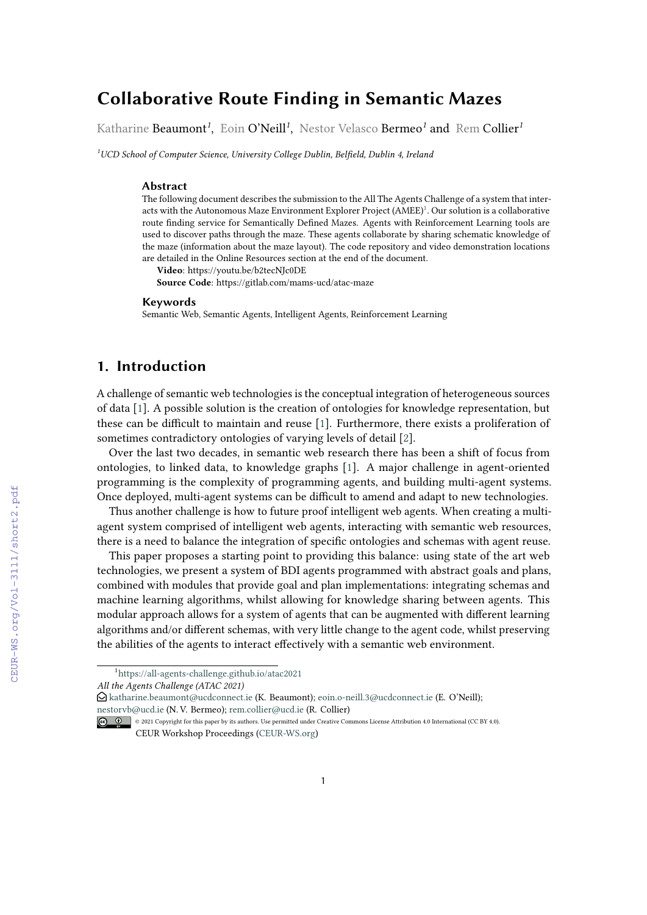# **Collaborative Route Finding in Semantic Mazes**

Katharine Beaumont*<sup>1</sup>* , Eoin O'Neill*<sup>1</sup>* , Nestor Velasco Bermeo*<sup>1</sup>* and Rem Collier*<sup>1</sup>*

*<sup>1</sup>UCD School of Computer Science, University College Dublin, Belfield, Dublin 4, Ireland*

#### **Abstract**

The following document describes the submission to the All The Agents Challenge of a system that inter-acts with the Autonomous Maze Environment Explorer Project (AMEE)<sup>[1](#page-0-0)</sup>. Our solution is a collaborative route finding service for Semantically Defined Mazes. Agents with Reinforcement Learning tools are used to discover paths through the maze. These agents collaborate by sharing schematic knowledge of the maze (information about the maze layout). The code repository and video demonstration locations are detailed in the Online Resources section at the end of the document.

**Video**: https://youtu.be/b2tecNJc0DE

**Source Code**: https://gitlab.com/mams-ucd/atac-maze

#### **Keywords**

Semantic Web, Semantic Agents, Intelligent Agents, Reinforcement Learning

# **1. Introduction**

A challenge of semantic web technologies is the conceptual integration of heterogeneous sources of data [\[1\]](#page--1-0). A possible solution is the creation of ontologies for knowledge representation, but these can be difficult to maintain and reuse [\[1\]](#page--1-0). Furthermore, there exists a proliferation of sometimes contradictory ontologies of varying levels of detail [\[2\]](#page--1-1).

Over the last two decades, in semantic web research there has been a shift of focus from ontologies, to linked data, to knowledge graphs [\[1\]](#page--1-0). A major challenge in agent-oriented programming is the complexity of programming agents, and building multi-agent systems. Once deployed, multi-agent systems can be difficult to amend and adapt to new technologies.

Thus another challenge is how to future proof intelligent web agents. When creating a multiagent system comprised of intelligent web agents, interacting with semantic web resources, there is a need to balance the integration of specific ontologies and schemas with agent reuse.

This paper proposes a starting point to providing this balance: using state of the art web technologies, we present a system of BDI agents programmed with abstract goals and plans, combined with modules that provide goal and plan implementations: integrating schemas and machine learning algorithms, whilst allowing for knowledge sharing between agents. This modular approach allows for a system of agents that can be augmented with different learning algorithms and/or different schemas, with very little change to the agent code, whilst preserving the abilities of the agents to interact effectively with a semantic web environment.

<span id="page-0-0"></span><sup>1</sup> [https://all-agents-challenge.github.io/atac2021](https://all-agents-challenge.github.io/atac2021/)

*All the Agents Challenge (ATAC 2021)*

 $\bigcirc$  [katharine.beaumont@ucdconnect.ie](mailto:katharine.beaumont@ucdconnect.ie) (K. Beaumont); [eoin.o-neill.3@ucdconnect.ie](mailto:eoin.o-neill.3@ucdconnect.ie) (E. O'Neill); [nestorvb@ucd.ie](mailto:nestorvb@ucd.ie) (N. V. Bermeo); [rem.collier@ucd.ie](mailto:rem.collier@ucd.ie) (R. Collier)

<sup>© 0 0 2021</sup> Copyright for this paper by its authors. Use permitted under Creative Commons License Attribution 4.0 International (CC BY 4.0). CEUR Workshop Proceedings [\(CEUR-WS.org\)](http://ceur-ws.org)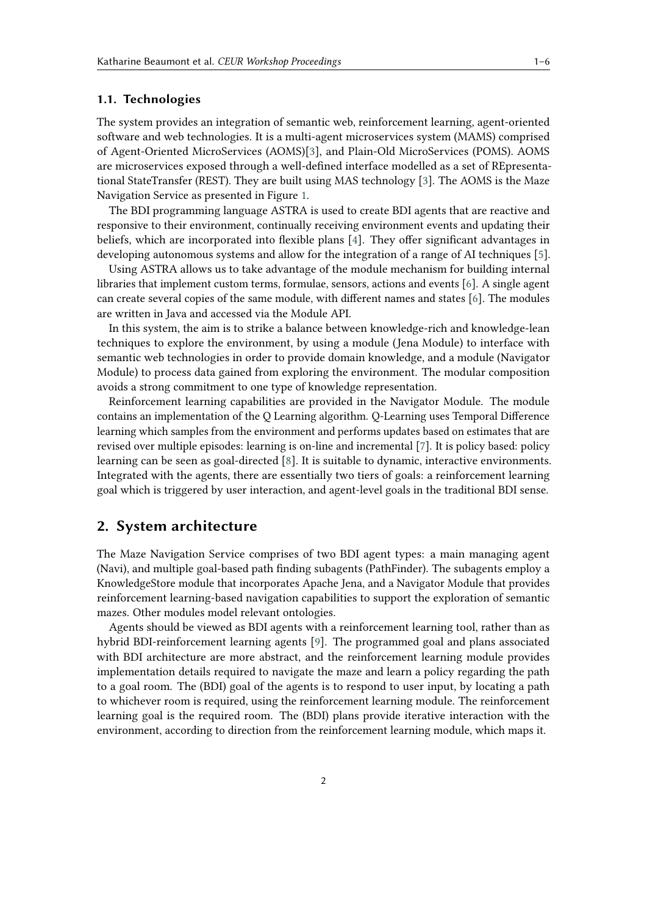### **1.1. Technologies**

The system provides an integration of semantic web, reinforcement learning, agent-oriented software and web technologies. It is a multi-agent microservices system (MAMS) comprised of Agent-Oriented MicroServices (AOMS)[\[3\]](#page-5-0), and Plain-Old MicroServices (POMS). AOMS are microservices exposed through a well-defined interface modelled as a set of REpresentational StateTransfer (REST). They are built using MAS technology [\[3\]](#page-5-0). The AOMS is the Maze Navigation Service as presented in Figure [1.](#page-2-0)

The BDI programming language ASTRA is used to create BDI agents that are reactive and responsive to their environment, continually receiving environment events and updating their beliefs, which are incorporated into flexible plans [\[4\]](#page-5-1). They offer significant advantages in developing autonomous systems and allow for the integration of a range of AI techniques [\[5\]](#page-5-2).

Using ASTRA allows us to take advantage of the module mechanism for building internal libraries that implement custom terms, formulae, sensors, actions and events [\[6\]](#page-5-3). A single agent can create several copies of the same module, with different names and states [\[6\]](#page-5-3). The modules are written in Java and accessed via the Module API.

In this system, the aim is to strike a balance between knowledge-rich and knowledge-lean techniques to explore the environment, by using a module (Jena Module) to interface with semantic web technologies in order to provide domain knowledge, and a module (Navigator Module) to process data gained from exploring the environment. The modular composition avoids a strong commitment to one type of knowledge representation.

Reinforcement learning capabilities are provided in the Navigator Module. The module contains an implementation of the Q Learning algorithm. Q-Learning uses Temporal Difference learning which samples from the environment and performs updates based on estimates that are revised over multiple episodes: learning is on-line and incremental [\[7\]](#page-5-4). It is policy based: policy learning can be seen as goal-directed [\[8\]](#page-5-5). It is suitable to dynamic, interactive environments. Integrated with the agents, there are essentially two tiers of goals: a reinforcement learning goal which is triggered by user interaction, and agent-level goals in the traditional BDI sense.

## **2. System architecture**

The Maze Navigation Service comprises of two BDI agent types: a main managing agent (Navi), and multiple goal-based path finding subagents (PathFinder). The subagents employ a KnowledgeStore module that incorporates Apache Jena, and a Navigator Module that provides reinforcement learning-based navigation capabilities to support the exploration of semantic mazes. Other modules model relevant ontologies.

Agents should be viewed as BDI agents with a reinforcement learning tool, rather than as hybrid BDI-reinforcement learning agents [\[9\]](#page-5-6). The programmed goal and plans associated with BDI architecture are more abstract, and the reinforcement learning module provides implementation details required to navigate the maze and learn a policy regarding the path to a goal room. The (BDI) goal of the agents is to respond to user input, by locating a path to whichever room is required, using the reinforcement learning module. The reinforcement learning goal is the required room. The (BDI) plans provide iterative interaction with the environment, according to direction from the reinforcement learning module, which maps it.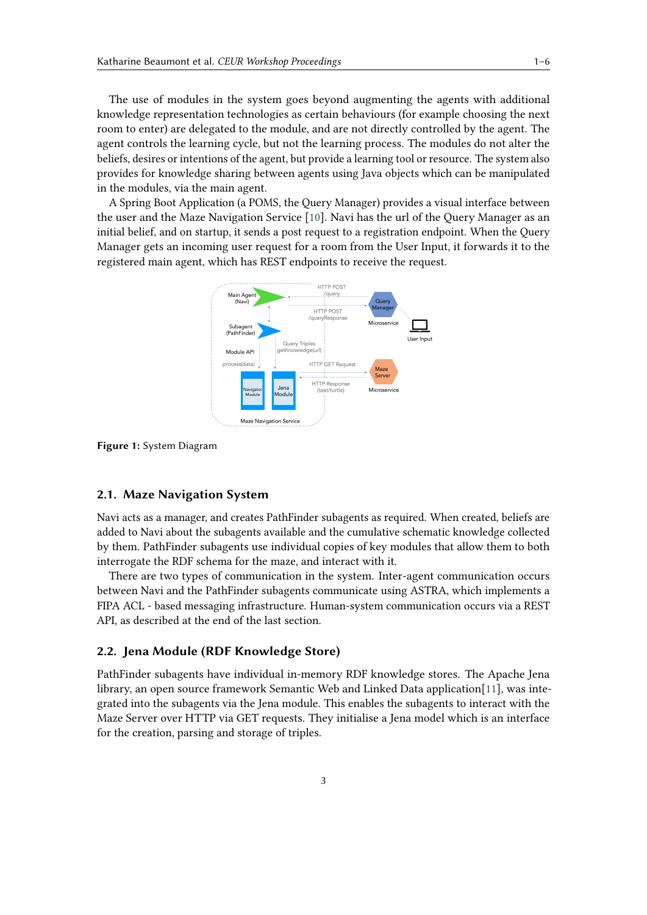The use of modules in the system goes beyond augmenting the agents with additional knowledge representation technologies as certain behaviours (for example choosing the next room to enter) are delegated to the module, and are not directly controlled by the agent. The agent controls the learning cycle, but not the learning process. The modules do not alter the beliefs, desires or intentions of the agent, but provide a learning tool or resource. The system also provides for knowledge sharing between agents using Java objects which can be manipulated in the modules, via the main agent.

A Spring Boot Application (a POMS, the Query Manager) provides a visual interface between the user and the Maze Navigation Service [\[10\]](#page-5-7). Navi has the url of the Query Manager as an initial belief, and on startup, it sends a post request to a registration endpoint. When the Query Manager gets an incoming user request for a room from the User Input, it forwards it to the registered main agent, which has REST endpoints to receive the request.

<span id="page-2-0"></span>

**Figure 1:** System Diagram

#### **2.1. Maze Navigation System**

Navi acts as a manager, and creates PathFinder subagents as required. When created, beliefs are added to Navi about the subagents available and the cumulative schematic knowledge collected by them. PathFinder subagents use individual copies of key modules that allow them to both interrogate the RDF schema for the maze, and interact with it.

There are two types of communication in the system. Inter-agent communication occurs between Navi and the PathFinder subagents communicate using ASTRA, which implements a FIPA ACL - based messaging infrastructure. Human-system communication occurs via a REST API, as described at the end of the last section.

### **2.2. Jena Module (RDF Knowledge Store)**

PathFinder subagents have individual in-memory RDF knowledge stores. The Apache Jena library, an open source framework Semantic Web and Linked Data application[\[11\]](#page-5-8), was integrated into the subagents via the Jena module. This enables the subagents to interact with the Maze Server over HTTP via GET requests. They initialise a Jena model which is an interface for the creation, parsing and storage of triples.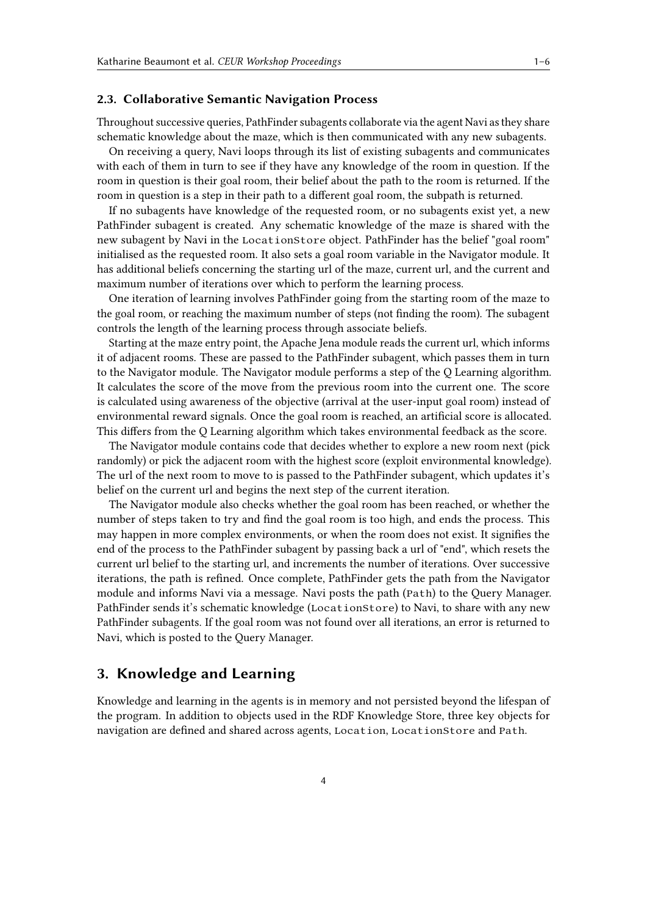#### **2.3. Collaborative Semantic Navigation Process**

Throughout successive queries, PathFinder subagents collaborate via the agent Navi as they share schematic knowledge about the maze, which is then communicated with any new subagents.

On receiving a query, Navi loops through its list of existing subagents and communicates with each of them in turn to see if they have any knowledge of the room in question. If the room in question is their goal room, their belief about the path to the room is returned. If the room in question is a step in their path to a different goal room, the subpath is returned.

If no subagents have knowledge of the requested room, or no subagents exist yet, a new PathFinder subagent is created. Any schematic knowledge of the maze is shared with the new subagent by Navi in the LocationStore object. PathFinder has the belief "goal room" initialised as the requested room. It also sets a goal room variable in the Navigator module. It has additional beliefs concerning the starting url of the maze, current url, and the current and maximum number of iterations over which to perform the learning process.

One iteration of learning involves PathFinder going from the starting room of the maze to the goal room, or reaching the maximum number of steps (not finding the room). The subagent controls the length of the learning process through associate beliefs.

Starting at the maze entry point, the Apache Jena module reads the current url, which informs it of adjacent rooms. These are passed to the PathFinder subagent, which passes them in turn to the Navigator module. The Navigator module performs a step of the Q Learning algorithm. It calculates the score of the move from the previous room into the current one. The score is calculated using awareness of the objective (arrival at the user-input goal room) instead of environmental reward signals. Once the goal room is reached, an artificial score is allocated. This differs from the Q Learning algorithm which takes environmental feedback as the score.

The Navigator module contains code that decides whether to explore a new room next (pick randomly) or pick the adjacent room with the highest score (exploit environmental knowledge). The url of the next room to move to is passed to the PathFinder subagent, which updates it's belief on the current url and begins the next step of the current iteration.

The Navigator module also checks whether the goal room has been reached, or whether the number of steps taken to try and find the goal room is too high, and ends the process. This may happen in more complex environments, or when the room does not exist. It signifies the end of the process to the PathFinder subagent by passing back a url of "end", which resets the current url belief to the starting url, and increments the number of iterations. Over successive iterations, the path is refined. Once complete, PathFinder gets the path from the Navigator module and informs Navi via a message. Navi posts the path (Path) to the Query Manager. PathFinder sends it's schematic knowledge (LocationStore) to Navi, to share with any new PathFinder subagents. If the goal room was not found over all iterations, an error is returned to Navi, which is posted to the Query Manager.

# **3. Knowledge and Learning**

Knowledge and learning in the agents is in memory and not persisted beyond the lifespan of the program. In addition to objects used in the RDF Knowledge Store, three key objects for navigation are defined and shared across agents, Location, LocationStore and Path.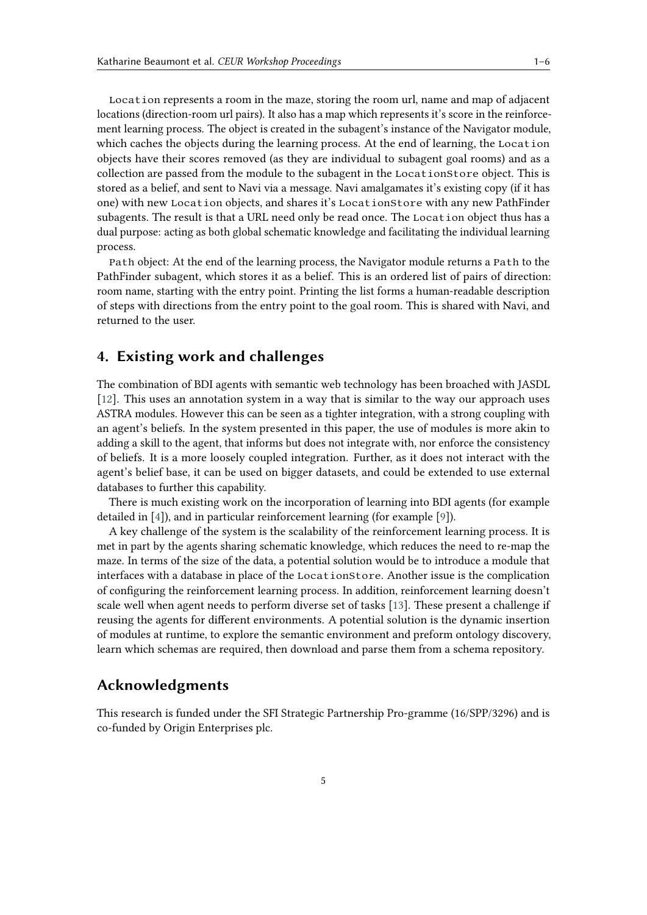Location represents a room in the maze, storing the room url, name and map of adjacent locations (direction-room url pairs). It also has a map which represents it's score in the reinforcement learning process. The object is created in the subagent's instance of the Navigator module, which caches the objects during the learning process. At the end of learning, the Location objects have their scores removed (as they are individual to subagent goal rooms) and as a collection are passed from the module to the subagent in the LocationStore object. This is stored as a belief, and sent to Navi via a message. Navi amalgamates it's existing copy (if it has one) with new Location objects, and shares it's LocationStore with any new PathFinder subagents. The result is that a URL need only be read once. The Location object thus has a dual purpose: acting as both global schematic knowledge and facilitating the individual learning process.

Path object: At the end of the learning process, the Navigator module returns a Path to the PathFinder subagent, which stores it as a belief. This is an ordered list of pairs of direction: room name, starting with the entry point. Printing the list forms a human-readable description of steps with directions from the entry point to the goal room. This is shared with Navi, and returned to the user.

## **4. Existing work and challenges**

The combination of BDI agents with semantic web technology has been broached with JASDL [\[12\]](#page-5-9). This uses an annotation system in a way that is similar to the way our approach uses ASTRA modules. However this can be seen as a tighter integration, with a strong coupling with an agent's beliefs. In the system presented in this paper, the use of modules is more akin to adding a skill to the agent, that informs but does not integrate with, nor enforce the consistency of beliefs. It is a more loosely coupled integration. Further, as it does not interact with the agent's belief base, it can be used on bigger datasets, and could be extended to use external databases to further this capability.

There is much existing work on the incorporation of learning into BDI agents (for example detailed in [\[4\]](#page-5-1)), and in particular reinforcement learning (for example [\[9\]](#page-5-6)).

A key challenge of the system is the scalability of the reinforcement learning process. It is met in part by the agents sharing schematic knowledge, which reduces the need to re-map the maze. In terms of the size of the data, a potential solution would be to introduce a module that interfaces with a database in place of the LocationStore. Another issue is the complication of configuring the reinforcement learning process. In addition, reinforcement learning doesn't scale well when agent needs to perform diverse set of tasks [\[13\]](#page-5-10). These present a challenge if reusing the agents for different environments. A potential solution is the dynamic insertion of modules at runtime, to explore the semantic environment and preform ontology discovery, learn which schemas are required, then download and parse them from a schema repository.

# **Acknowledgments**

This research is funded under the SFI Strategic Partnership Pro-gramme (16/SPP/3296) and is co-funded by Origin Enterprises plc.